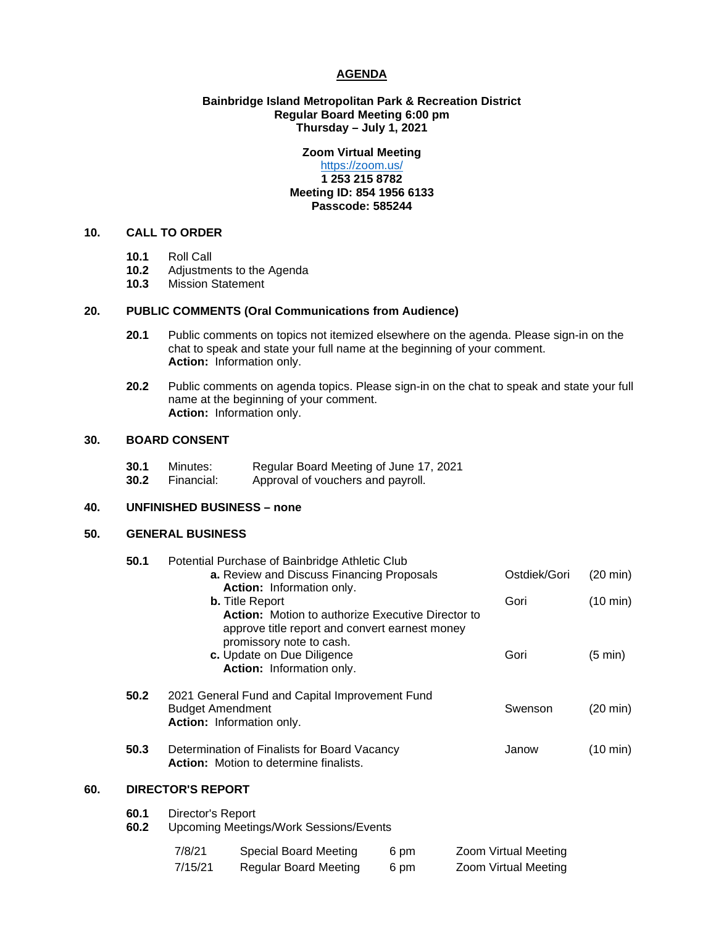### **AGENDA**

# **Bainbridge Island Metropolitan Park & Recreation District Regular Board Meeting 6:00 pm Thursday – July 1, 2021**

# **Zoom Virtual Meeting**

# <https://zoom.us/> **1 253 215 8782 Meeting ID: 854 1956 6133 Passcode: 585244**

# **10. CALL TO ORDER**

- **10.1** Roll Call
- 10.2 Adjustments to the Agenda<br>10.3 Mission Statement
- **10.3** Mission Statement

# **20. PUBLIC COMMENTS (Oral Communications from Audience)**

- **20.1** Public comments on topics not itemized elsewhere on the agenda. Please sign-in on the chat to speak and state your full name at the beginning of your comment. **Action:** Information only.
- **20.2** Public comments on agenda topics. Please sign-in on the chat to speak and state your full name at the beginning of your comment. **Action:** Information only.

## **30. BOARD CONSENT**

| 30.1 | Minutes:   | Regular Board Meeting of June 17, 2021 |
|------|------------|----------------------------------------|
| 30.2 | Financial: | Approval of vouchers and payroll.      |

#### **40. UNFINISHED BUSINESS – none**

# **50. GENERAL BUSINESS**

| 50.1 |      | Potential Purchase of Bainbridge Athletic Club                                     |              |                    |
|------|------|------------------------------------------------------------------------------------|--------------|--------------------|
|      |      | a. Review and Discuss Financing Proposals                                          | Ostdiek/Gori | $(20 \text{ min})$ |
|      |      | <b>Action:</b> Information only.                                                   |              |                    |
|      |      | <b>b.</b> Title Report<br><b>Action:</b> Motion to authorize Executive Director to | Gori         | $(10 \text{ min})$ |
|      |      | approve title report and convert earnest money                                     |              |                    |
|      |      | promissory note to cash.                                                           |              |                    |
|      |      | c. Update on Due Diligence                                                         | Gori         | $(5 \text{ min})$  |
|      |      | Action: Information only.                                                          |              |                    |
|      | 50.2 | 2021 General Fund and Capital Improvement Fund                                     |              |                    |
|      |      | <b>Budget Amendment</b>                                                            | Swenson      | (20 min)           |
|      |      | <b>Action:</b> Information only.                                                   |              |                    |
|      | 50.3 | Determination of Finalists for Board Vacancy                                       | Janow        | $(10 \text{ min})$ |
|      |      | <b>Action:</b> Motion to determine finalists.                                      |              |                    |
| 60.  |      | <b>DIRECTOR'S REPORT</b>                                                           |              |                    |
|      | 60.1 |                                                                                    |              |                    |
|      | 60.2 | Director's Report<br><b>Upcoming Meetings/Work Sessions/Events</b>                 |              |                    |
|      |      |                                                                                    |              |                    |
|      |      | $\sim$ $\sim$ $\sim$ $\sim$ $\sim$ $\sim$                                          |              |                    |

| 7/8/21  | Special Board Meeting | 6 pm | Zoom Virtual Meeting |
|---------|-----------------------|------|----------------------|
| 7/15/21 | Regular Board Meeting | 6 pm | Zoom Virtual Meeting |